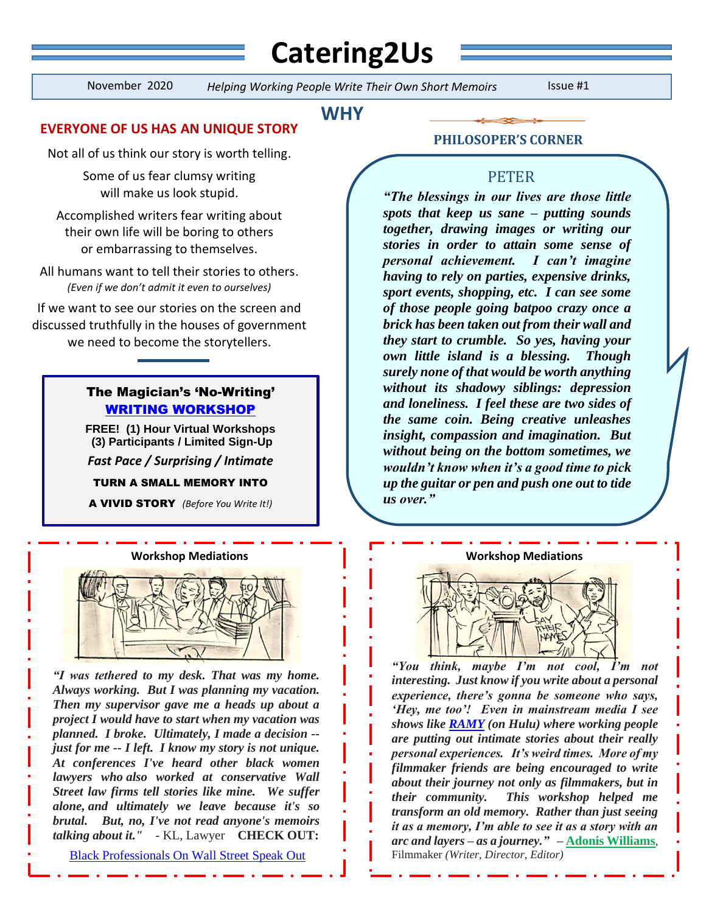# **Catering2Us**

í

November 2020 *Helping Working Peopl*e *Write Their Own Short Memoirs* Issue #1

# **WHY**

# **EVERYONE OF US HAS AN UNIQUE STORY**

Not all of us think our story is worth telling.

Some of us fear clumsy writing will make us look stupid.

Accomplished writers fear writing about their own life will be boring to others or embarrassing to themselves.

All humans want to tell their stories to others. *(Even if we don't admit it even to ourselves)*

If we want to see our stories on the screen and discussed truthfully in the houses of government we need to become the storytellers.

# The Magician's 'No-Writing' [WRITING WORKSHOP](https://www.catering2us.nyc/free-workshop)

**FREE! (1) Hour Virtual Workshops (3) Participants / Limited Sign-Up** *Fast Pace / Surprising / Intimate*

TURN A SMALL MEMORY INTO

A VIVID STORY *(Before You Write It!)*



*"I was tethered to my desk. That was my home. Always working. But I was planning my vacation. Then my supervisor gave me a heads up about a project I would have to start when my vacation was planned. I broke. Ultimately, I made a decision - just for me -- I left. I know my story is not unique. At conferences I've heard other black women lawyers who also worked at conservative Wall Street law firms tell stories like mine. We suffer alone, and ultimately we leave because it's so brutal. But, no, I've not read anyone's memoirs talking about it."* - KL, Lawyer **CHECK OUT:**

[Black Professionals On Wall Street Speak Out](https://www.bloomberg.com/features/2020-black-on-wall-street/)

### **PHILOSOPER'S CORNER**

## PETER

*"The blessings in our lives are those little spots that keep us sane – putting sounds together, drawing images or writing our stories in order to attain some sense of personal achievement. I can't imagine having to rely on parties, expensive drinks, sport events, shopping, etc. I can see some of those people going batpoo crazy once a brick has been taken out from their wall and they start to crumble. So yes, having your own little island is a blessing. Though surely none of that would be worth anything without its shadowy siblings: depression and loneliness. I feel these are two sides of the same coin. Being creative unleashes insight, compassion and imagination. But without being on the bottom sometimes, we wouldn't know when it's a good time to pick up the guitar or pen and push one out to tide us over."*

#### **Workshop Mediations Workshop Mediations**



*"You think, maybe I'm not cool, I'm not interesting. Just know if you write about a personal experience, there's gonna be someone who says, 'Hey, me too'! Even in mainstream media I see shows like [RAMY](https://www.youtube.com/watch?v=mPDQ5bUsZxM) (on Hulu) where working people are putting out intimate stories about their really personal experiences. It's weird times. More of my filmmaker friends are being encouraged to write about their journey not only as filmmakers, but in their community. This workshop helped me transform an old memory. Rather than just seeing it as a memory, I'm able to see it as a story with an arc and layers – as a journey." –* **[Adonis Williams](http://www.adoniswilliams.com/)**, Filmmaker *(Writer, Director, Editor)*